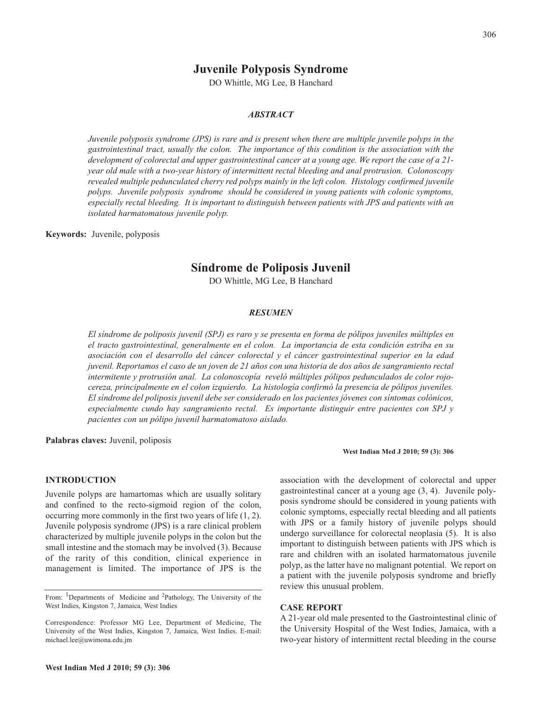# **Juvenile Polyposis Syndrome**

DO Whittle, MG Lee, B Hanchard

### *ABSTRACT*

*Juvenile polyposis syndrome (JPS) is rare and is present when there are multiple juvenile polyps in the gastrointestinal tract, usually the colon. The importance of this condition is the association with the* development of colorectal and upper gastrointestinal cancer at a young age. We report the case of a 21*year old male with a two-year history of intermittent rectal bleeding and anal protrusion. Colonoscopy revealed multiple pedunculated cherry red polyps mainly in the left colon. Histology confirmed juvenile polyps. Juvenile polyposis syndrome should be considered in young patients with colonic symptoms, especially rectal bleeding. It is important to distinguish between patients with JPS and patients with an isolated harmatomatous juvenile polyp.*

**Keywords:** Juvenile, polyposis

## **Síndrome de Poliposis Juvenil**

DO Whittle, MG Lee, B Hanchard

#### *RESUMEN*

El síndrome de poliposis juvenil (SPJ) es raro y se presenta en forma de pólipos juveniles múltiples en *el tracto gastrointestinal, generalmente en el colon. La importancia de esta condición estriba en su asociación con el desarrollo del cáncer colorectal y el cáncer gastrointestinal superior en la edad* juvenil. Reportamos el caso de un joven de 21 años con una historia de dos años de sangramiento rectal *intermitente y protrusión anal. La colonoscopía reveló múltiples pólipos pedunculados de color rojocereza, principalmente en el colon izquierdo. La histología confirmó la presencia de pólipos juveniles. El síndrome del poliposis juvenil debe ser considerado en los pacientes jóvenes con síntomas colónicos, especialmente cundo hay sangramiento rectal. Es importante distinguir entre pacientes con SPJ y pacientes con un pólipo juvenil harmatomatoso aislado.*

**Palabras claves:** Juvenil, poliposis

## **INTRODUCTION**

Juvenile polyps are hamartomas which are usually solitary and confined to the recto-sigmoid region of the colon, occurring more commonly in the first two years of life (1, 2). Juvenile polyposis syndrome (JPS) is a rare clinical problem characterized by multiple juvenile polyps in the colon but the small intestine and the stomach may be involved (3). Because of the rarity of this condition, clinical experience in management is limited. The importance of JPS is the

From: <sup>1</sup>Departments of Medicine and <sup>2</sup>Pathology, The University of the West Indies, Kingston 7, Jamaica, West Indies

**West Indian Med J 2010; 59 (3): 306**

association with the development of colorectal and upper gastrointestinal cancer at a young age (3, 4). Juvenile polyposis syndrome should be considered in young patients with colonic symptoms, especially rectal bleeding and all patients with JPS or a family history of juvenile polyps should undergo surveillance for colorectal neoplasia (5). It is also important to distinguish between patients with JPS which is rare and children with an isolated harmatomatous juvenile polyp, as the latter have no malignant potential. We report on a patient with the juvenile polyposis syndrome and briefly review this unusual problem.

## **CASE REPORT**

A 21-year old male presented to the Gastrointestinal clinic of the University Hospital of the West Indies, Jamaica, with a two-year history of intermittent rectal bleeding in the course

Correspondence: Professor MG Lee, Department of Medicine, The University of the West Indies, Kingston 7, Jamaica, West Indies. E-mail: michael.lee@uwimona.edu.jm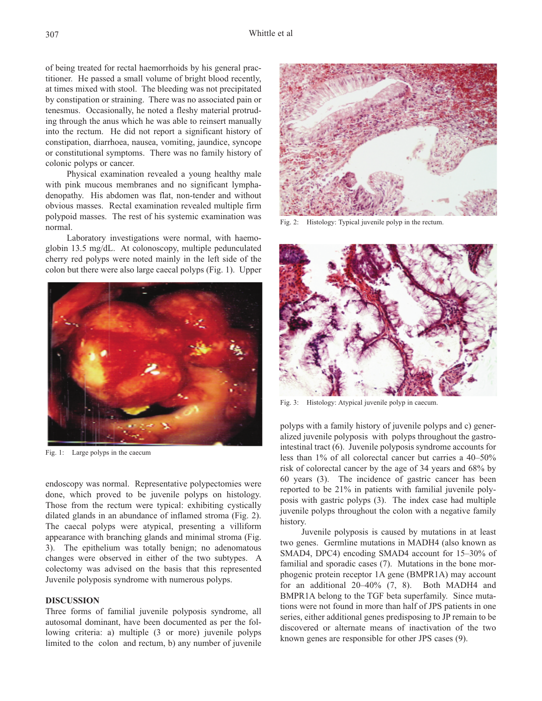of being treated for rectal haemorrhoids by his general practitioner. He passed a small volume of bright blood recently, at times mixed with stool. The bleeding was not precipitated by constipation or straining. There was no associated pain or tenesmus. Occasionally, he noted a fleshy material protruding through the anus which he was able to reinsert manually into the rectum. He did not report a significant history of constipation, diarrhoea, nausea, vomiting, jaundice, syncope or constitutional symptoms. There was no family history of colonic polyps or cancer.

Physical examination revealed a young healthy male with pink mucous membranes and no significant lymphadenopathy. His abdomen was flat, non-tender and without obvious masses. Rectal examination revealed multiple firm polypoid masses. The rest of his systemic examination was normal.

Laboratory investigations were normal, with haemoglobin 13.5 mg/dL. At colonoscopy, multiple pedunculated cherry red polyps were noted mainly in the left side of the colon but there were also large caecal polyps (Fig. 1). Upper



Fig. 1: Large polyps in the caecum

endoscopy was normal. Representative polypectomies were done, which proved to be juvenile polyps on histology. Those from the rectum were typical: exhibiting cystically dilated glands in an abundance of inflamed stroma (Fig. 2). The caecal polyps were atypical, presenting a villiform appearance with branching glands and minimal stroma (Fig. 3). The epithelium was totally benign; no adenomatous changes were observed in either of the two subtypes. A colectomy was advised on the basis that this represented Juvenile polyposis syndrome with numerous polyps.

#### **DISCUSSION**

Three forms of familial juvenile polyposis syndrome, all autosomal dominant, have been documented as per the following criteria: a) multiple (3 or more) juvenile polyps limited to the colon and rectum, b) any number of juvenile



Fig. 2: Histology: Typical juvenile polyp in the rectum.



Fig. 3: Histology: Atypical juvenile polyp in caecum.

polyps with a family history of juvenile polyps and c) generalized juvenile polyposis with polyps throughout the gastrointestinal tract (6). Juvenile polyposis syndrome accounts for less than 1% of all colorectal cancer but carries a 40–50% risk of colorectal cancer by the age of 34 years and 68% by 60 years (3). The incidence of gastric cancer has been reported to be 21% in patients with familial juvenile polyposis with gastric polyps (3). The index case had multiple juvenile polyps throughout the colon with a negative family history.

Juvenile polyposis is caused by mutations in at least two genes. Germline mutations in MADH4 (also known as SMAD4, DPC4) encoding SMAD4 account for 15–30% of familial and sporadic cases (7). Mutations in the bone morphogenic protein receptor 1A gene (BMPR1A) may account for an additional 20–40% (7, 8). Both MADH4 and BMPR1A belong to the TGF beta superfamily. Since mutations were not found in more than half of JPS patients in one series, either additional genes predisposing to JP remain to be discovered or alternate means of inactivation of the two known genes are responsible for other JPS cases (9).